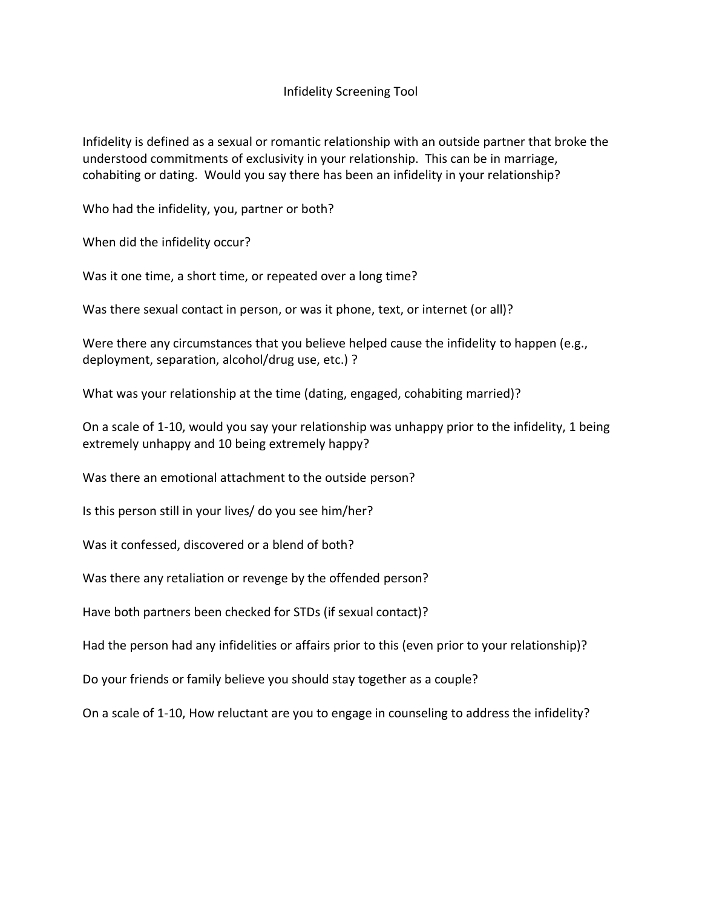# Infidelity Screening Tool

Infidelity is defined as a sexual or romantic relationship with an outside partner that broke the understood commitments of exclusivity in your relationship. This can be in marriage, cohabiting or dating. Would you say there has been an infidelity in your relationship?

Who had the infidelity, you, partner or both?

When did the infidelity occur?

Was it one time, a short time, or repeated over a long time?

Was there sexual contact in person, or was it phone, text, or internet (or all)?

Were there any circumstances that you believe helped cause the infidelity to happen (e.g., deployment, separation, alcohol/drug use, etc.) ?

What was your relationship at the time (dating, engaged, cohabiting married)?

On a scale of 1-10, would you say your relationship was unhappy prior to the infidelity, 1 being extremely unhappy and 10 being extremely happy?

Was there an emotional attachment to the outside person?

Is this person still in your lives/ do you see him/her?

Was it confessed, discovered or a blend of both?

Was there any retaliation or revenge by the offended person?

Have both partners been checked for STDs (if sexual contact)?

Had the person had any infidelities or affairs prior to this (even prior to your relationship)?

Do your friends or family believe you should stay together as a couple?

On a scale of 1-10, How reluctant are you to engage in counseling to address the infidelity?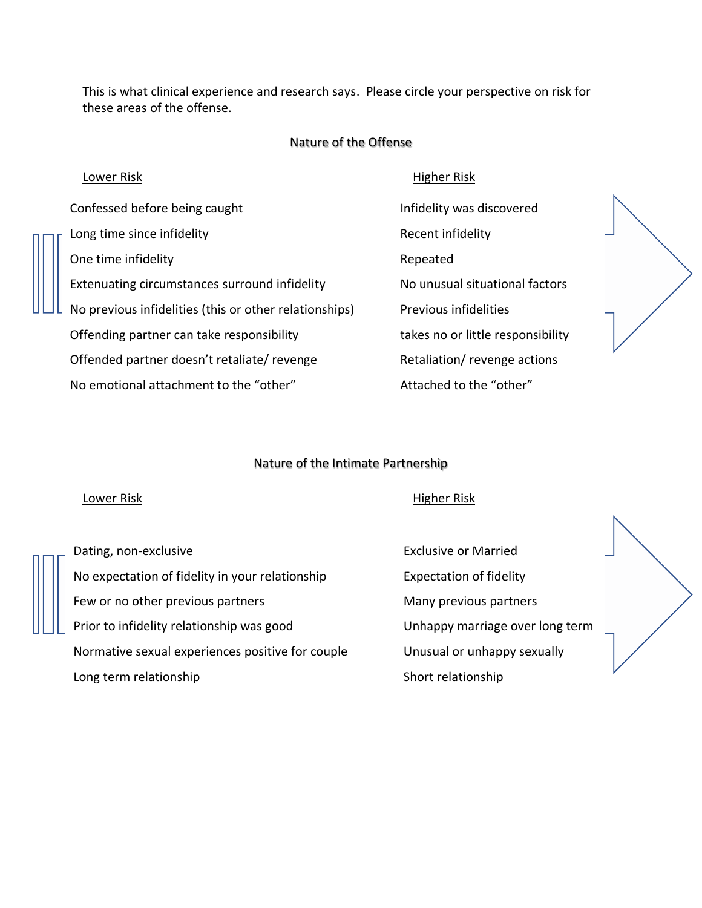This is what clinical experience and research says. Please circle your perspective on risk for these areas of the offense.

## Nature of the Offense

Confessed before being caught **Infidelity** was discovered Long time since infidelity and the state of the Recent infidelity One time infidelity and the contract of the Repeated Extenuating circumstances surround infidelity No unusual situational factors No previous infidelities (this or other relationships) Previous infidelities Offending partner can take responsibility takes no or little responsibility Offended partner doesn't retaliate/ revenge Retaliation/ revenge actions No emotional attachment to the "other" and all attached to the "other"

## Lower Risk **Higher Risk** Higher Risk **Higher Risk**



### Nature of the Intimate Partnership

### Lower Risk **Example 2018** Lower Risk **Higher Risk**

Dating, non-exclusive Exclusive or Married No expectation of fidelity in your relationship Expectation of fidelity Few or no other previous partners **Many previous partners** Many previous partners Prior to infidelity relationship was good example 10 Unhappy marriage over long term Normative sexual experiences positive for couple Unusual or unhappy sexually Long term relationship Short relationship